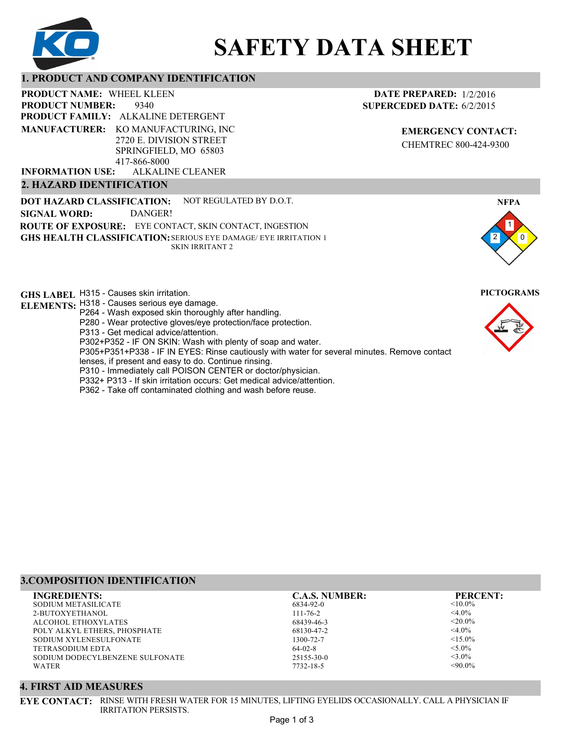

# **SAFETY DATA SHEET**

## **1. PRODUCT AND COMPANY IDENTIFICATION**

9340 PRODUCT NAME: WHEEL KLEEN **PRODUCT FAMILY: ALKALINE DETERGENT** ALKALINE CLEANER **PRODUCT NUMBER: MANUFACTURER:** KO MANUFACTURING, INC 2720 E. DIVISION STREET SPRINGFIELD, MO 65803 417-866-8000 **INFORMATION USE:**

## **2. HAZARD IDENTIFICATION**

**DOT HAZARD CLASSIFICATION: GHS HEALTH CLASSIFICATION:** SERIOUS EYE DAMAGE/ EYE IRRITATION 1 **ROUTE OF EXPOSURE:** EYE CONTACT, SKIN CONTACT, INGESTION NOT REGULATED BY D.O.T. SKIN IRRITANT 2 **SIGNAL WORD:** DANGER!

**GHS LABEL**  H315 - Causes skin irritation. **PICTOGRAMS**

- **ELEMENTS:** H318 Causes serious eye damage.
	- P264 Wash exposed skin thoroughly after handling.
		- P280 Wear protective gloves/eye protection/face protection.
		- P313 Get medical advice/attention.
	- P302+P352 IF ON SKIN: Wash with plenty of soap and water.

P305+P351+P338 - IF IN EYES: Rinse cautiously with water for several minutes. Remove contact

- lenses, if present and easy to do. Continue rinsing.
- P310 Immediately call POISON CENTER or doctor/physician.
- P332+ P313 If skin irritation occurs: Get medical advice/attention.
- P362 Take off contaminated clothing and wash before reuse.

## **DATE PREPARED:** 1/2/2016 **SUPERCEDED DATE:** 6/2/2015

**EMERGENCY CONTACT:** CHEMTREC 800-424-9300





## **3.COMPOSITION IDENTIFICATION**

| <b>INGREDIENTS:</b>             | <b>C.A.S. NUMBER:</b> | <b>PERCENT:</b> |
|---------------------------------|-----------------------|-----------------|
| SODIUM METASILICATE             | 6834-92-0             | $< 10.0\%$      |
| 2-BUTOXYETHANOL                 | $111 - 76 - 2$        | $<$ 4.0%        |
| ALCOHOL ETHOXYLATES             | 68439-46-3            | $<$ 20.0%       |
| POLY ALKYL ETHERS, PHOSPHATE    | 68130-47-2            | $<$ 4.0%        |
| SODIUM XYLENESULFONATE          | 1300-72-7             | $<15.0\%$       |
| TETRASODIUM EDTA-               | $64-02-8$             | $< 5.0\%$       |
| SODIUM DODECYLBENZENE SULFONATE | $25155 - 30 - 0$      | $<$ 3.0%        |
| <b>WATER</b>                    | 7732-18-5             | $<90.0\%$       |
|                                 |                       |                 |

## **4. FIRST AID MEASURES**

**EYE CONTACT:** RINSE WITH FRESH WATER FOR 15 MINUTES, LIFTING EYELIDS OCCASIONALLY. CALL A PHYSICIAN IF IRRITATION PERSISTS.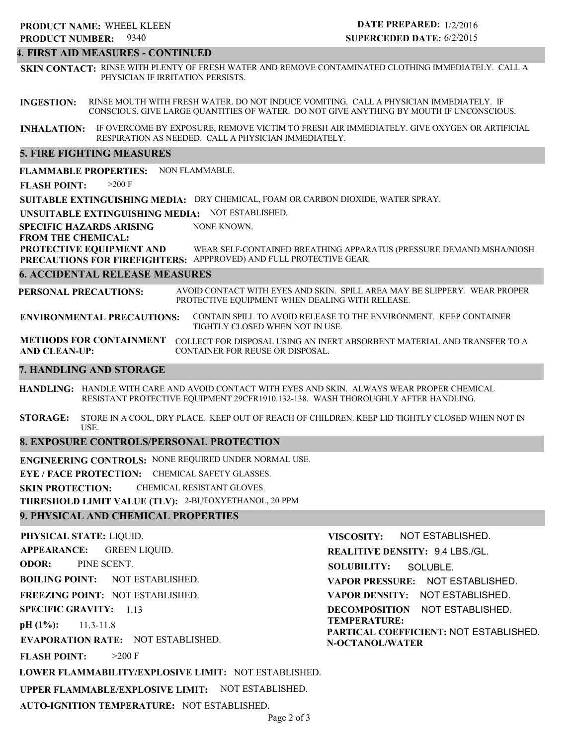## **4. FIRST AID MEASURES - CONTINUED**

**SKIN CONTACT:** RINSE WITH PLENTY OF FRESH WATER AND REMOVE CONTAMINATED CLOTHING IMMEDIATELY. CALL A PHYSICIAN IF IRRITATION PERSISTS.

**INGESTION:** RINSE MOUTH WITH FRESH WATER. DO NOT INDUCE VOMITING. CALL A PHYSICIAN IMMEDIATELY. IF CONSCIOUS, GIVE LARGE QUANTITIES OF WATER. DO NOT GIVE ANYTHING BY MOUTH IF UNCONSCIOUS.

**INHALATION:** IF OVERCOME BY EXPOSURE, REMOVE VICTIM TO FRESH AIR IMMEDIATELY. GIVE OXYGEN OR ARTIFICIAL RESPIRATION AS NEEDED. CALL A PHYSICIAN IMMEDIATELY.

## **5. FIRE FIGHTING MEASURES**

**FLAMMABLE PROPERTIES:** NON FLAMMABLE.

**FLASH POINT:** >200 F

**SUITABLE EXTINGUISHING MEDIA:** DRY CHEMICAL, FOAM OR CARBON DIOXIDE, WATER SPRAY.

**UNSUITABLE EXTINGUISHING MEDIA:** NOT ESTABLISHED.

**SPECIFIC HAZARDS ARISING** NONE KNOWN.

**FROM THE CHEMICAL:**

**PROTECTIVE EQUIPMENT AND PRECAUTIONS FOR FIREFIGHTERS:** APPPROVED) AND FULL PROTECTIVE GEAR. WEAR SELF-CONTAINED BREATHING APPARATUS (PRESSURE DEMAND MSHA/NIOSH

## **6. ACCIDENTAL RELEASE MEASURES**

**PERSONAL PRECAUTIONS:** AVOID CONTACT WITH EYES AND SKIN. SPILL AREA MAY BE SLIPPERY. WEAR PROPER PROTECTIVE EQUIPMENT WHEN DEALING WITH RELEASE.

**ENVIRONMENTAL PRECAUTIONS:** CONTAIN SPILL TO AVOID RELEASE TO THE ENVIRONMENT. KEEP CONTAINER TIGHTLY CLOSED WHEN NOT IN USE.

**METHODS FOR CONTAINMENT** COLLECT FOR DISPOSAL USING AN INERT ABSORBENT MATERIAL AND TRANSFER TO A **AND CLEAN-UP:** CONTAINER FOR REUSE OR DISPOSAL.

## **7. HANDLING AND STORAGE**

**HANDLING:** HANDLE WITH CARE AND AVOID CONTACT WITH EYES AND SKIN. ALWAYS WEAR PROPER CHEMICAL RESISTANT PROTECTIVE EQUIPMENT 29CFR1910.132-138. WASH THOROUGHLY AFTER HANDLING.

**STORAGE:** STORE IN A COOL, DRY PLACE. KEEP OUT OF REACH OF CHILDREN. KEEP LID TIGHTLY CLOSED WHEN NOT IN USE.

## **8. EXPOSURE CONTROLS/PERSONAL PROTECTION**

**ENGINEERING CONTROLS:** NONE REQUIRED UNDER NORMAL USE.

**EYE / FACE PROTECTION:** CHEMICAL SAFETY GLASSES.

**SKIN PROTECTION:** CHEMICAL RESISTANT GLOVES.

**THRESHOLD LIMIT VALUE (TLV):** 2-BUTOXYETHANOL, 20 PPM

## **9. PHYSICAL AND CHEMICAL PROPERTIES**

**PHYSICAL STATE:** LIQUID. **APPEARANCE: ODOR: BOILING POINT:** NOT ESTABLISHED. **FREEZING POINT:** NOT ESTABLISHED. **SPECIFIC GRAVITY:** 1.13 **pH (1%): EVAPORATION RATE:** NOT ESTABLISHED. **FLASH POINT: LOWER FLAMMABILITY/EXPLOSIVE LIMIT:** NOT ESTABLISHED. **UPPER FLAMMABLE/EXPLOSIVE LIMIT:** NOT ESTABLISHED. 11.3-11.8  $>200$  F GREEN LIQUID. PINE SCENT. **VISCOSITY: REALITIVE DENSITY:** 9.4 LBS./GL. **SOLUBILITY: VAPOR PRESSURE:** NOT ESTABLISHED. **VAPOR DENSITY:** NOT ESTABLISHED. **DECOMPOSITION** NOT ESTABLISHED. **TEMPERATURE: PARTICAL COEFFICIENT:** NOT ESTABLISHED. **N-OCTANOL/WATER** NOT ESTABLISHED. SOLUBLE.

**AUTO-IGNITION TEMPERATURE:** NOT ESTABLISHED.